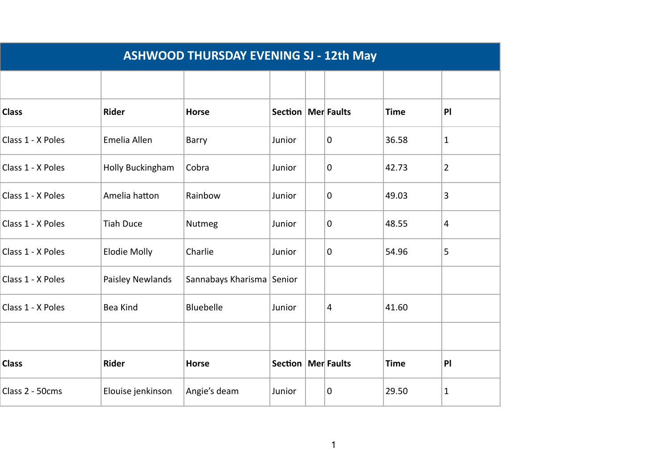| <b>ASHWOOD THURSDAY EVENING SJ - 12th May</b> |                     |                           |                      |  |   |             |                |  |
|-----------------------------------------------|---------------------|---------------------------|----------------------|--|---|-------------|----------------|--|
|                                               |                     |                           |                      |  |   |             |                |  |
| <b>Class</b>                                  | <b>Rider</b>        | <b>Horse</b>              | Section   Mer Faults |  |   | <b>Time</b> | P              |  |
| Class 1 - X Poles                             | Emelia Allen        | Barry                     | Junior               |  | 0 | 36.58       | $\mathbf{1}$   |  |
| Class 1 - X Poles                             | Holly Buckingham    | Cobra                     | Junior               |  | 0 | 42.73       | $\overline{2}$ |  |
| Class 1 - X Poles                             | Amelia hatton       | Rainbow                   | Junior               |  | 0 | 49.03       | 3              |  |
| Class 1 - X Poles                             | <b>Tiah Duce</b>    | Nutmeg                    | Junior               |  | 0 | 48.55       | 4              |  |
| Class 1 - X Poles                             | <b>Elodie Molly</b> | Charlie                   | Junior               |  | 0 | 54.96       | 5              |  |
| Class 1 - X Poles                             | Paisley Newlands    | Sannabays Kharisma Senior |                      |  |   |             |                |  |
| Class 1 - X Poles                             | Bea Kind            | Bluebelle                 | Junior               |  | 4 | 41.60       |                |  |
|                                               |                     |                           |                      |  |   |             |                |  |
| <b>Class</b>                                  | <b>Rider</b>        | <b>Horse</b>              | Section   Mer Faults |  |   | <b>Time</b> | P              |  |
| Class 2 - 50cms                               | Elouise jenkinson   | Angie's deam              | Junior               |  | 0 | 29.50       | 1              |  |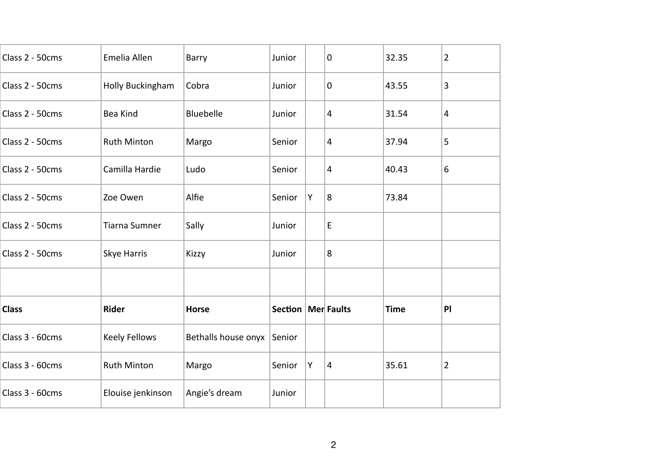| Class 2 - 50cms | Emelia Allen         | Barry                      | Junior               |   | $\pmb{0}$      | 32.35       | $\overline{2}$ |
|-----------------|----------------------|----------------------------|----------------------|---|----------------|-------------|----------------|
| Class 2 - 50cms | Holly Buckingham     | Cobra                      | Junior               |   | 0              | 43.55       | 3              |
| Class 2 - 50cms | <b>Bea Kind</b>      | <b>Bluebelle</b>           | Junior               |   | 4              | 31.54       | $\overline{a}$ |
| Class 2 - 50cms | Ruth Minton          | Margo                      | Senior               |   | $\overline{a}$ | 37.94       | 5              |
| Class 2 - 50cms | Camilla Hardie       | Ludo                       | Senior               |   | 4              | 40.43       | 6              |
| Class 2 - 50cms | Zoe Owen             | Alfie                      | Senior               | Υ | 8              | 73.84       |                |
| Class 2 - 50cms | <b>Tiarna Sumner</b> | Sally                      | Junior               |   | E              |             |                |
| Class 2 - 50cms | Skye Harris          | <b>Kizzy</b>               | Junior               |   | 8              |             |                |
|                 |                      |                            |                      |   |                |             |                |
| <b>Class</b>    | <b>Rider</b>         | <b>Horse</b>               | Section   Mer Faults |   |                | <b>Time</b> | PI             |
| Class 3 - 60cms | <b>Keely Fellows</b> | Bethalls house onyx Senior |                      |   |                |             |                |
| Class 3 - 60cms | <b>Ruth Minton</b>   | Margo                      | Senior               | Υ | 4              | 35.61       | $\overline{2}$ |
| Class 3 - 60cms | Elouise jenkinson    | Angie's dream              | Junior               |   |                |             |                |
|                 |                      |                            |                      |   |                |             |                |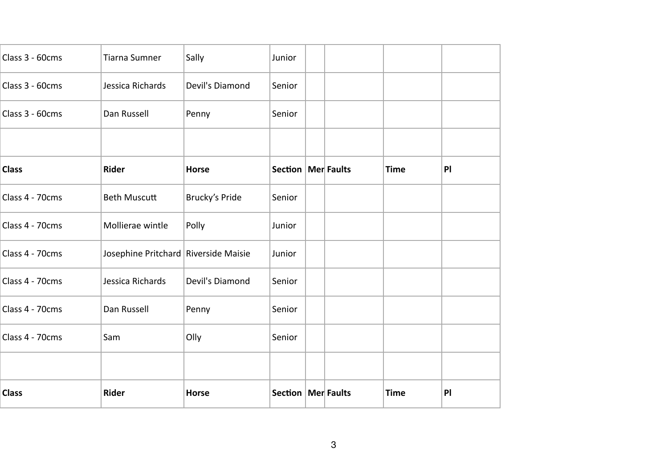| <b>Class</b>    | Rider                                  | <b>Horse</b>    | Section              | Mer Faults | <b>Time</b> | PI |
|-----------------|----------------------------------------|-----------------|----------------------|------------|-------------|----|
|                 |                                        |                 |                      |            |             |    |
| Class 4 - 70cms | Sam                                    | Olly            | Senior               |            |             |    |
| Class 4 - 70cms | Dan Russell                            | Penny           | Senior               |            |             |    |
| Class 4 - 70cms | Jessica Richards                       | Devil's Diamond | Senior               |            |             |    |
| Class 4 - 70cms | Josephine Pritchard   Riverside Maisie |                 | Junior               |            |             |    |
| Class 4 - 70cms | Mollierae wintle                       | Polly           | Junior               |            |             |    |
| Class 4 - 70cms | <b>Beth Muscutt</b>                    | Brucky's Pride  | Senior               |            |             |    |
| <b>Class</b>    | Rider                                  | <b>Horse</b>    | Section   Mer Faults |            | <b>Time</b> | P  |
|                 |                                        |                 |                      |            |             |    |
| Class 3 - 60cms | Dan Russell                            | Penny           | Senior               |            |             |    |
| Class 3 - 60cms | Jessica Richards                       | Devil's Diamond | Senior               |            |             |    |
| Class 3 - 60cms | <b>Tiarna Sumner</b>                   | Sally           | Junior               |            |             |    |
|                 |                                        |                 |                      |            |             |    |